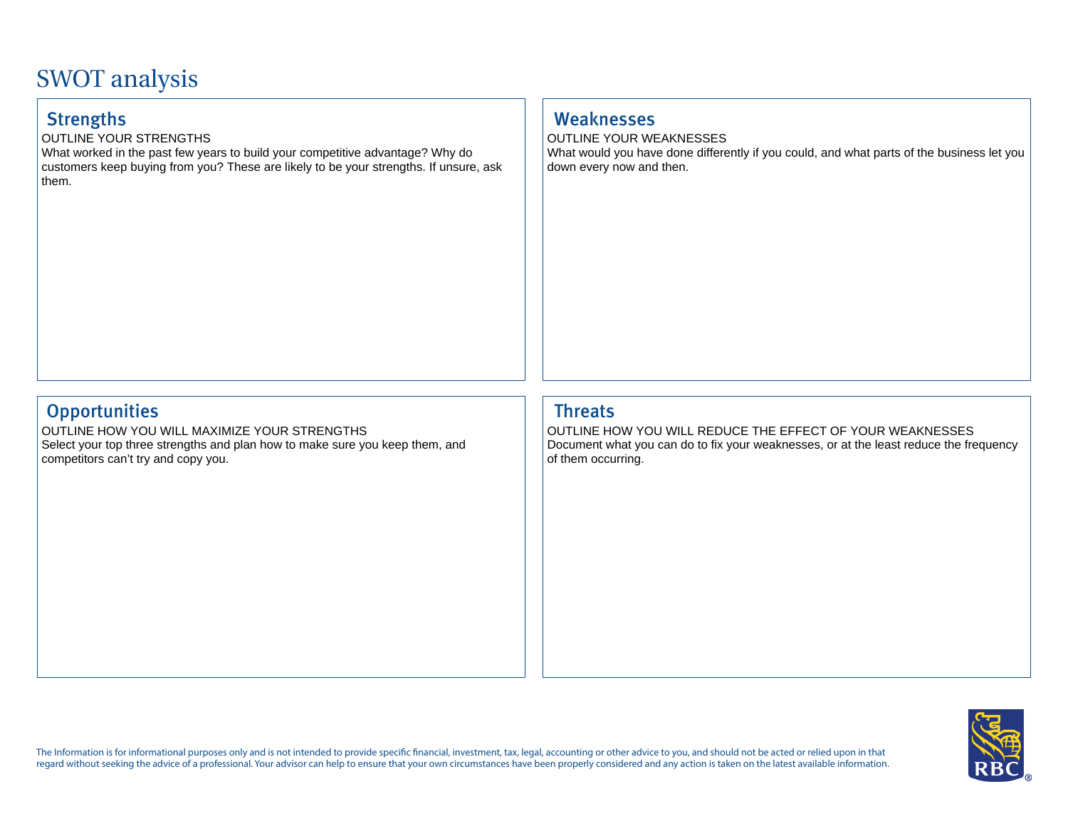# SWOT analysis

OUTLINE YOUR STRENGTHS

What worked in the past few years to build your competitive advantage? Why do customers keep buying from you? These are likely to be your strengths. If unsure, ask them.

## Strengths Weaknesses

OUTLINE YOUR WEAKNESSES What would you have done differently if you could, and what parts of the business let you down every now and then.

## Opportunities **Threats**

OUTLINE HOW YOU WILL MAXIMIZE YOUR STRENGTHS Select your top three strengths and plan how to make sure you keep them, and competitors can't try and copy you.

OUTLINE HOW YOU WILL REDUCE THE EFFECT OF YOUR WEAKNESSES Document what you can do to fix your weaknesses, or at the least reduce the frequency of them occurring.



The Information is for informational purposes only and is not intended to provide specific financial, investment, tax, legal, accounting or other advice to you, and should not be acted or relied upon in that regard without seeking the advice of a professional. Your advisor can help to ensure that your own circumstances have been properly considered and any action is taken on the latest available information.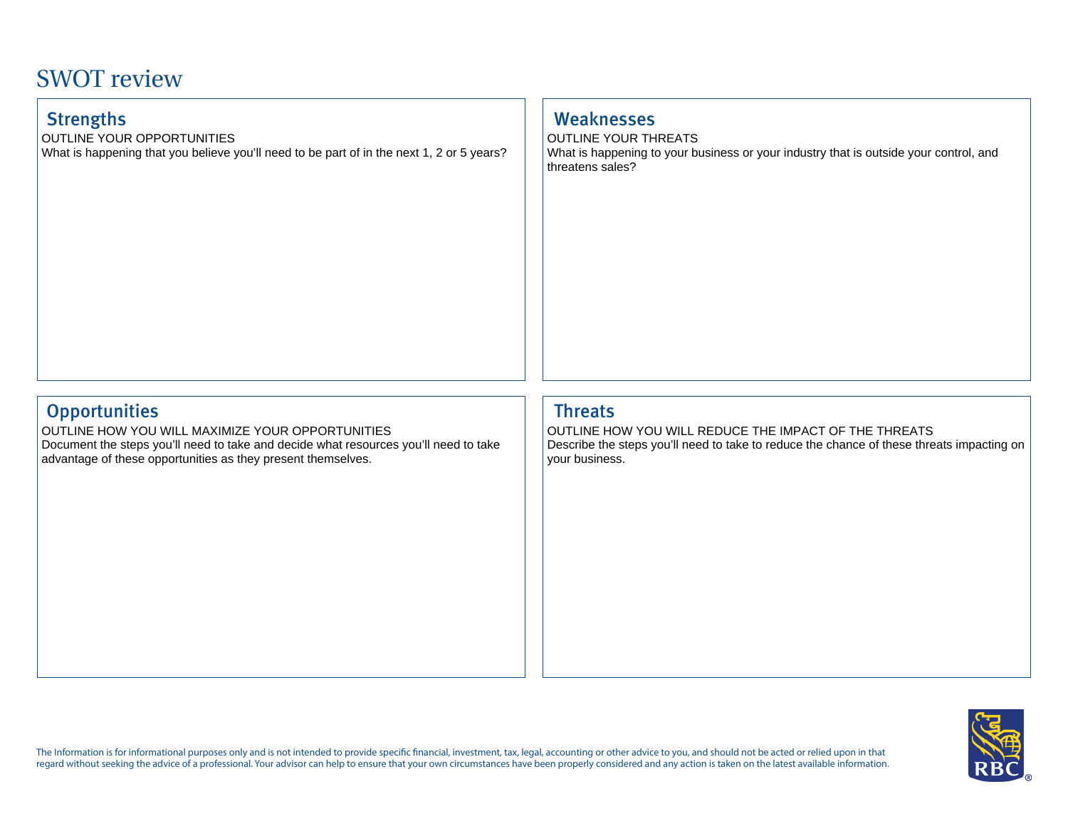## SWOT review

OUTLINE YOUR OPPORTUNITIES

What is happening that you believe you'll need to be part of in the next 1, 2 or 5 years?

## Strengths Weaknesses

OUTLINE YOUR THREATS What is happening to your business or your industry that is outside your control, and threatens sales?

## Opportunities **Threats**

OUTLINE HOW YOU WILL MAXIMIZE YOUR OPPORTUNITIES Document the steps you'll need to take and decide what resources you'll need to take advantage of these opportunities as they present themselves.

OUTLINE HOW YOU WILL REDUCE THE IMPACT OF THE THREATS Describe the steps you'll need to take to reduce the chance of these threats impacting on your business.



The Information is for informational purposes only and is not intended to provide specific financial, investment, tax, legal, accounting or other advice to you, and should not be acted or relied upon in that regard without seeking the advice of a professional. Your advisor can help to ensure that your own circumstances have been properly considered and any action is taken on the latest available information.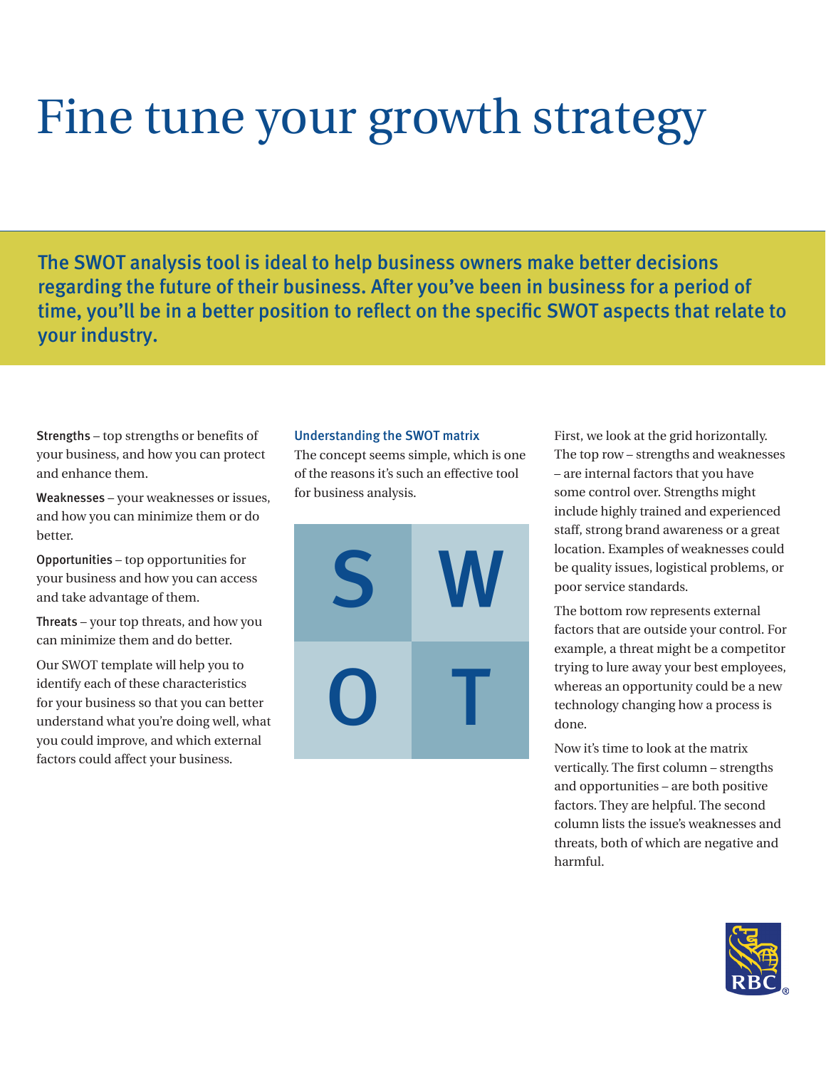# Fine tune your growth strategy

The SWOT analysis tool is ideal to help business owners make better decisions regarding the future of their business. After you've been in business for a period of time, you'll be in a better position to reflect on the specific SWOT aspects that relate to your industry.

Strengths – top strengths or benefits of your business, and how you can protect and enhance them.

Weaknesses – your weaknesses or issues, and how you can minimize them or do better.

Opportunities – top opportunities for your business and how you can access and take advantage of them.

Threats – your top threats, and how you can minimize them and do better.

Our SWOT template will help you to identify each of these characteristics for your business so that you can better understand what you're doing well, what you could improve, and which external factors could affect your business.

#### Understanding the SWOT matrix

The concept seems simple, which is one of the reasons it's such an effective tool for business analysis.



First, we look at the grid horizontally. The top row – strengths and weaknesses – are internal factors that you have some control over. Strengths might include highly trained and experienced staff, strong brand awareness or a great location. Examples of weaknesses could be quality issues, logistical problems, or poor service standards.

The bottom row represents external factors that are outside your control. For example, a threat might be a competitor trying to lure away your best employees, whereas an opportunity could be a new technology changing how a process is done.

Now it's time to look at the matrix vertically. The first column – strengths and opportunities – are both positive factors. They are helpful. The second column lists the issue's weaknesses and threats, both of which are negative and harmful.